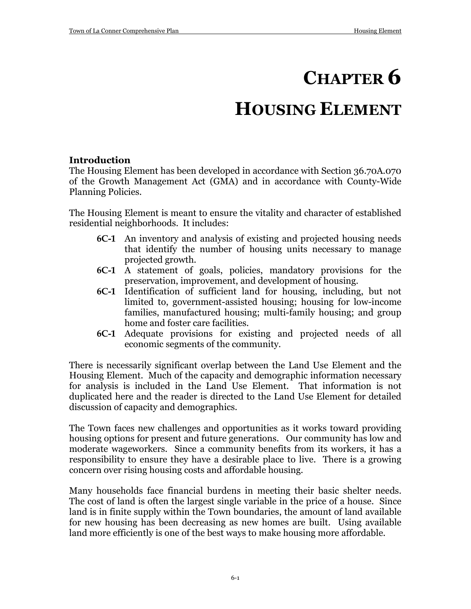# **CHAPTER 6**

# **HOUSING ELEMENT**

#### **Introduction**

The Housing Element has been developed in accordance with Section 36.70A.070 of the Growth Management Act (GMA) and in accordance with County-Wide Planning Policies.

The Housing Element is meant to ensure the vitality and character of established residential neighborhoods. It includes:

- **6C-1** An inventory and analysis of existing and projected housing needs that identify the number of housing units necessary to manage projected growth.
- **6C-1** A statement of goals, policies, mandatory provisions for the preservation, improvement, and development of housing.
- **6C-1** Identification of sufficient land for housing, including, but not limited to, government-assisted housing; housing for low-income families, manufactured housing; multi-family housing; and group home and foster care facilities.
- **6C-1** Adequate provisions for existing and projected needs of all economic segments of the community.

There is necessarily significant overlap between the Land Use Element and the Housing Element. Much of the capacity and demographic information necessary for analysis is included in the Land Use Element. That information is not duplicated here and the reader is directed to the Land Use Element for detailed discussion of capacity and demographics.

The Town faces new challenges and opportunities as it works toward providing housing options for present and future generations. Our community has low and moderate wageworkers. Since a community benefits from its workers, it has a responsibility to ensure they have a desirable place to live. There is a growing concern over rising housing costs and affordable housing.

Many households face financial burdens in meeting their basic shelter needs. The cost of land is often the largest single variable in the price of a house. Since land is in finite supply within the Town boundaries, the amount of land available for new housing has been decreasing as new homes are built. Using available land more efficiently is one of the best ways to make housing more affordable.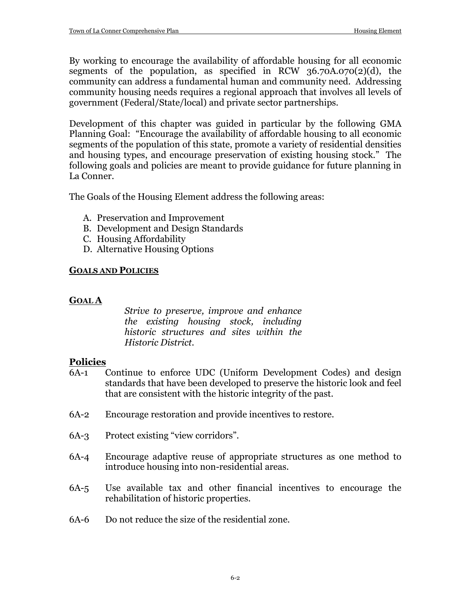By working to encourage the availability of affordable housing for all economic segments of the population, as specified in RCW  $36.70A.070(2)(d)$ , the community can address a fundamental human and community need. Addressing community housing needs requires a regional approach that involves all levels of government (Federal/State/local) and private sector partnerships.

Development of this chapter was guided in particular by the following GMA Planning Goal: "Encourage the availability of affordable housing to all economic segments of the population of this state, promote a variety of residential densities and housing types, and encourage preservation of existing housing stock." The following goals and policies are meant to provide guidance for future planning in La Conner.

The Goals of the Housing Element address the following areas:

- A. Preservation and Improvement
- B. Development and Design Standards
- C. Housing Affordability
- D. Alternative Housing Options

#### **GOALS AND POLICIES**

# **GOAL A**

*Strive to preserve, improve and enhance the existing housing stock, including historic structures and sites within the Historic District.*

# **Policies**

- 6A-1 Continue to enforce UDC (Uniform Development Codes) and design standards that have been developed to preserve the historic look and feel that are consistent with the historic integrity of the past.
- 6A-2 Encourage restoration and provide incentives to restore.
- 6A-3 Protect existing "view corridors".
- 6A-4 Encourage adaptive reuse of appropriate structures as one method to introduce housing into non-residential areas.
- 6A-5 Use available tax and other financial incentives to encourage the rehabilitation of historic properties.
- 6A-6 Do not reduce the size of the residential zone.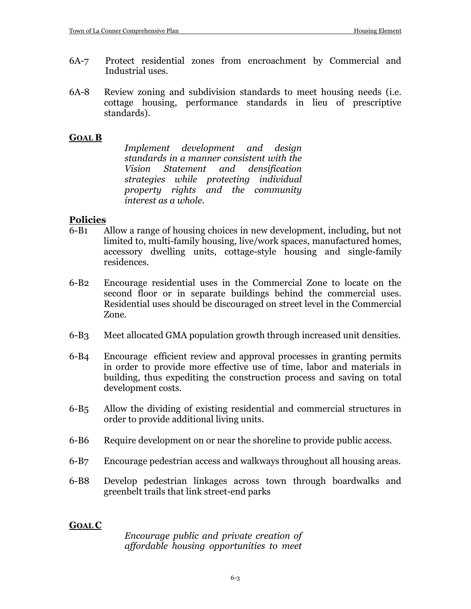- 6A-7 Protect residential zones from encroachment by Commercial and Industrial uses.
- 6A-8 Review zoning and subdivision standards to meet housing needs (i.e. cottage housing, performance standards in lieu of prescriptive standards).

#### **GOAL B**

*Implement development and design standards in a manner consistent with the Vision Statement and densification strategies while protecting individual property rights and the community interest as a whole.*

#### **Policies**

- 6-B1 Allow a range of housing choices in new development, including, but not limited to, multi-family housing, live/work spaces, manufactured homes, accessory dwelling units, cottage-style housing and single-family residences.
- 6-B2 Encourage residential uses in the Commercial Zone to locate on the second floor or in separate buildings behind the commercial uses. Residential uses should be discouraged on street level in the Commercial Zone.
- 6-B3 Meet allocated GMA population growth through increased unit densities.
- 6-B4 Encourage efficient review and approval processes in granting permits in order to provide more effective use of time, labor and materials in building, thus expediting the construction process and saving on total development costs.
- 6-B5 Allow the dividing of existing residential and commercial structures in order to provide additional living units.
- 6-B6 Require development on or near the shoreline to provide public access.
- 6-B7 Encourage pedestrian access and walkways throughout all housing areas.
- 6-B8 Develop pedestrian linkages across town through boardwalks and greenbelt trails that link street-end parks

#### **GOAL C**

*Encourage public and private creation of affordable housing opportunities to meet*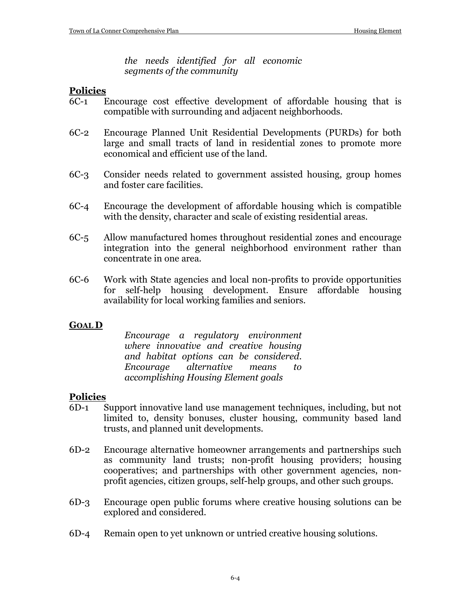*the needs identified for all economic segments of the community* 

#### **Policies**

- 6C-1 Encourage cost effective development of affordable housing that is compatible with surrounding and adjacent neighborhoods.
- 6C-2 Encourage Planned Unit Residential Developments (PURDs) for both large and small tracts of land in residential zones to promote more economical and efficient use of the land.
- 6C-3 Consider needs related to government assisted housing, group homes and foster care facilities.
- 6C-4 Encourage the development of affordable housing which is compatible with the density, character and scale of existing residential areas.
- 6C-5 Allow manufactured homes throughout residential zones and encourage integration into the general neighborhood environment rather than concentrate in one area.
- 6C-6 Work with State agencies and local non-profits to provide opportunities for self-help housing development. Ensure affordable housing availability for local working families and seniors.

#### **GOAL D**

*Encourage a regulatory environment where innovative and creative housing and habitat options can be considered. Encourage alternative means to accomplishing Housing Element goals*

#### **Policies**

- 6D-1 Support innovative land use management techniques, including, but not limited to, density bonuses, cluster housing, community based land trusts, and planned unit developments.
- 6D-2 Encourage alternative homeowner arrangements and partnerships such as community land trusts; non-profit housing providers; housing cooperatives; and partnerships with other government agencies, nonprofit agencies, citizen groups, self-help groups, and other such groups.
- 6D-3 Encourage open public forums where creative housing solutions can be explored and considered.
- 6D-4 Remain open to yet unknown or untried creative housing solutions.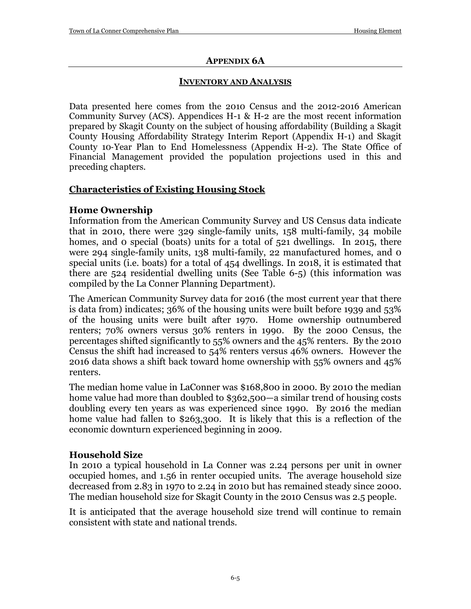#### **APPENDIX 6A**

#### **INVENTORY AND ANALYSIS**

Data presented here comes from the 2010 Census and the 2012-2016 American Community Survey (ACS). Appendices H-1 & H-2 are the most recent information prepared by Skagit County on the subject of housing affordability (Building a Skagit County Housing Affordability Strategy Interim Report (Appendix H-1) and Skagit County 10‐Year Plan to End Homelessness (Appendix H-2). The State Office of Financial Management provided the population projections used in this and preceding chapters.

# **Characteristics of Existing Housing Stock**

## **Home Ownership**

Information from the American Community Survey and US Census data indicate that in 2010, there were 329 single-family units, 158 multi-family, 34 mobile homes, and o special (boats) units for a total of 521 dwellings. In 2015, there were 294 single-family units, 138 multi-family, 22 manufactured homes, and 0 special units (i.e. boats) for a total of 454 dwellings. In 2018, it is estimated that there are 524 residential dwelling units (See Table 6-5) (this information was compiled by the La Conner Planning Department).

The American Community Survey data for 2016 (the most current year that there is data from) indicates; 36% of the housing units were built before 1939 and 53% of the housing units were built after 1970. Home ownership outnumbered renters; 70% owners versus 30% renters in 1990. By the 2000 Census, the percentages shifted significantly to 55% owners and the 45% renters. By the 2010 Census the shift had increased to 54% renters versus 46% owners. However the 2016 data shows a shift back toward home ownership with 55% owners and 45% renters.

The median home value in LaConner was \$168,800 in 2000. By 2010 the median home value had more than doubled to \$362,500—a similar trend of housing costs doubling every ten years as was experienced since 1990. By 2016 the median home value had fallen to \$263,300. It is likely that this is a reflection of the economic downturn experienced beginning in 2009.

# **Household Size**

In 2010 a typical household in La Conner was 2.24 persons per unit in owner occupied homes, and 1.56 in renter occupied units. The average household size decreased from 2.83 in 1970 to 2.24 in 2010 but has remained steady since 2000. The median household size for Skagit County in the 2010 Census was 2.5 people.

It is anticipated that the average household size trend will continue to remain consistent with state and national trends.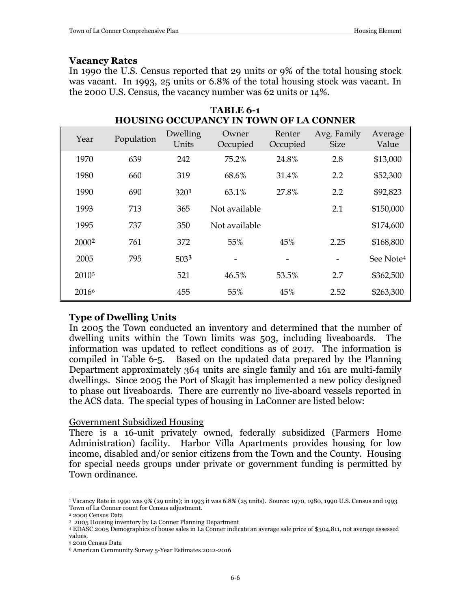#### **Vacancy Rates**

In 1990 the U.S. Census reported that 29 units or 9% of the total housing stock was vacant. In 1993, 25 units or 6.8% of the total housing stock was vacant. In the 2000 U.S. Census, the vacancy number was 62 units or 14%.

**TABLE 6-1**

| <b>HOUSING OCCUPANCY IN TOWN OF LA CONNER</b> |            |                   |                   |                    |                            |                       |  |  |  |  |
|-----------------------------------------------|------------|-------------------|-------------------|--------------------|----------------------------|-----------------------|--|--|--|--|
| Year                                          | Population | Dwelling<br>Units | Owner<br>Occupied | Renter<br>Occupied | Avg. Family<br><b>Size</b> | Average<br>Value      |  |  |  |  |
| 1970                                          | 639        | 242               | 75.2%             | 24.8%              | 2.8                        | \$13,000              |  |  |  |  |
| 1980                                          | 660        | 319               | 68.6%             | 31.4%              | 2.2                        | \$52,300              |  |  |  |  |
| 1990                                          | 690        | 3201              | 63.1%             | 27.8%              | 2.2                        | \$92,823              |  |  |  |  |
| 1993                                          | 713        | 365               | Not available     |                    | 2.1                        | \$150,000             |  |  |  |  |
| 1995                                          | 737        | 350               | Not available     |                    |                            | \$174,600             |  |  |  |  |
| 20002                                         | 761        | 372               | 55%               | 45%                | 2.25                       | \$168,800             |  |  |  |  |
| 2005                                          | 795        | 5033              |                   |                    |                            | See Note <sup>4</sup> |  |  |  |  |
| 2010 <sup>5</sup>                             |            | 521               | 46.5%             | 53.5%              | 2.7                        | \$362,500             |  |  |  |  |
| 20166                                         |            | 455               | 55%               | 45%                | 2.52                       | \$263,300             |  |  |  |  |

#### **Type of Dwelling Units**

In 2005 the Town conducted an inventory and determined that the number of dwelling units within the Town limits was 503, including liveaboards. The information was updated to reflect conditions as of 2017. The information is compiled in Table 6-5. Based on the updated data prepared by the Planning Department approximately 364 units are single family and 161 are multi-family dwellings. Since 2005 the Port of Skagit has implemented a new policy designed to phase out liveaboards. There are currently no live-aboard vessels reported in the ACS data. The special types of housing in LaConner are listed below:

#### Government Subsidized Housing

There is a 16-unit privately owned, federally subsidized (Farmers Home Administration) facility. Harbor Villa Apartments provides housing for low income, disabled and/or senior citizens from the Town and the County. Housing for special needs groups under private or government funding is permitted by Town ordinance.

<span id="page-5-0"></span> $\overline{a}$ <sup>1</sup> Vacancy Rate in 1990 was 9% (29 units); in 1993 it was 6.8% (25 units). Source: 1970, 1980, 1990 U.S. Census and 1993 Town of La Conner count for Census adjustment.

<span id="page-5-1"></span><sup>2</sup> 2000 Census Data

<sup>3 2005</sup> Housing inventory by La Conner Planning Department

<span id="page-5-3"></span><span id="page-5-2"></span><sup>4</sup> EDASC 2005 Demographics of house sales in La Conner indicate an average sale price of \$304,811, not average assessed values.

<span id="page-5-4"></span><sup>5</sup> 2010 Census Data

<span id="page-5-5"></span><sup>6</sup> American Community Survey 5-Year Estimates 2012-2016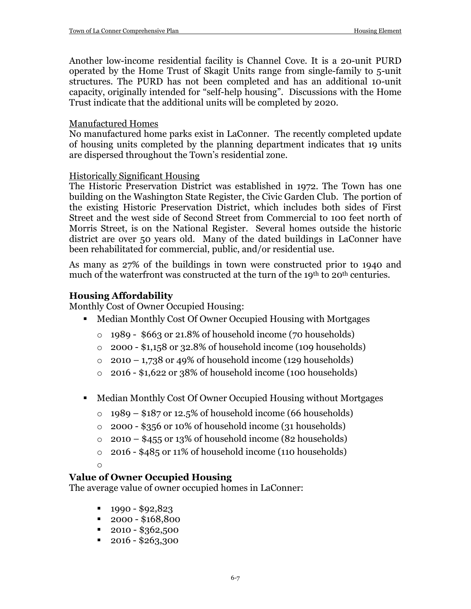Another low-income residential facility is Channel Cove. It is a 20-unit PURD operated by the Home Trust of Skagit Units range from single-family to 5-unit structures. The PURD has not been completed and has an additional 10-unit capacity, originally intended for "self-help housing". Discussions with the Home Trust indicate that the additional units will be completed by 2020.

#### Manufactured Homes

No manufactured home parks exist in LaConner. The recently completed update of housing units completed by the planning department indicates that 19 units are dispersed throughout the Town's residential zone.

#### Historically Significant Housing

The Historic Preservation District was established in 1972. The Town has one building on the Washington State Register, the Civic Garden Club. The portion of the existing Historic Preservation District, which includes both sides of First Street and the west side of Second Street from Commercial to 100 feet north of Morris Street, is on the National Register. Several homes outside the historic district are over 50 years old. Many of the dated buildings in LaConner have been rehabilitated for commercial, public, and/or residential use.

As many as 27% of the buildings in town were constructed prior to 1940 and much of the waterfront was constructed at the turn of the 19<sup>th</sup> to 20<sup>th</sup> centuries.

#### **Housing Affordability**

Monthly Cost of Owner Occupied Housing:

- Median Monthly Cost Of Owner Occupied Housing with Mortgages
	- o 1989 \$663 or 21.8% of household income (70 households)
	- $\circ$  2000 \$1,158 or 32.8% of household income (109 households)
	- $\circ$  2010 1,738 or 49% of household income (129 households)
	- o 2016 \$1,622 or 38% of household income (100 households)
- Median Monthly Cost Of Owner Occupied Housing without Mortgages
	- $\circ$  1989 \$187 or 12.5% of household income (66 households)
	- $\circ$  2000 \$356 or 10% of household income (31 households)
	- $\circ$  2010 \$455 or 13% of household income (82 households)
	- o 2016 \$485 or 11% of household income (110 households)

#### o

# **Value of Owner Occupied Housing**

The average value of owner occupied homes in LaConner:

- $1990 $92,823$
- $\blacksquare$  2000 \$168,800
- $\blacksquare$  2010 \$362,500
- $\blacksquare$  2016 \$263,300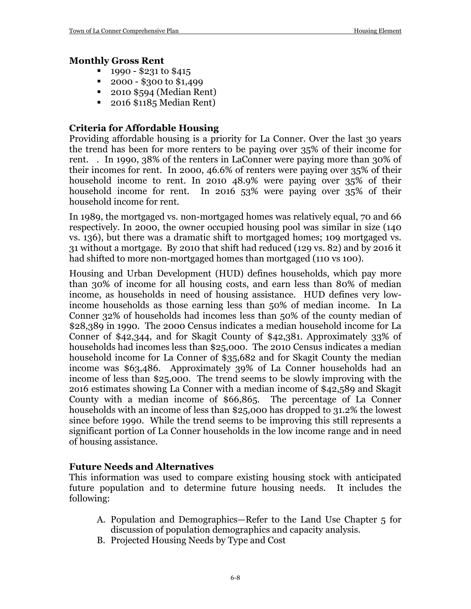#### **Monthly Gross Rent**

- 1990 \$231 to \$415
- 2000 \$300 to \$1,499
- 2010 \$594 (Median Rent)
- 2016 \$1185 Median Rent)

#### **Criteria for Affordable Housing**

Providing affordable housing is a priority for La Conner. Over the last 30 years the trend has been for more renters to be paying over 35% of their income for rent. . In 1990, 38% of the renters in LaConner were paying more than 30% of their incomes for rent. In 2000, 46.6% of renters were paying over 35% of their household income to rent. In 2010 48.9% were paying over 35% of their household income for rent. In 2016 53% were paying over 35% of their household income for rent.

In 1989, the mortgaged vs. non-mortgaged homes was relatively equal, 70 and 66 respectively. In 2000, the owner occupied housing pool was similar in size (140 vs. 136), but there was a dramatic shift to mortgaged homes; 109 mortgaged vs. 31 without a mortgage. By 2010 that shift had reduced (129 vs. 82) and by 2016 it had shifted to more non-mortgaged homes than mortgaged (110 vs 100).

Housing and Urban Development (HUD) defines households, which pay more than 30% of income for all housing costs, and earn less than 80% of median income, as households in need of housing assistance. HUD defines very lowincome households as those earning less than 50% of median income. In La Conner 32% of households had incomes less than 50% of the county median of \$28,389 in 1990. The 2000 Census indicates a median household income for La Conner of \$42,344, and for Skagit County of \$42,381. Approximately 33% of households had incomes less than \$25,000. The 2010 Census indicates a median household income for La Conner of \$35,682 and for Skagit County the median income was \$63,486. Approximately 39% of La Conner households had an income of less than \$25,000. The trend seems to be slowly improving with the 2o16 estimates showing La Conner with a median income of \$42,589 and Skagit County with a median income of \$66,865. The percentage of La Conner households with an income of less than \$25,000 has dropped to 31.2% the lowest since before 1990. While the trend seems to be improving this still represents a significant portion of La Conner households in the low income range and in need of housing assistance.

#### **Future Needs and Alternatives**

This information was used to compare existing housing stock with anticipated future population and to determine future housing needs. It includes the following:

- A. Population and Demographics—Refer to the Land Use Chapter 5 for discussion of population demographics and capacity analysis.
- B. Projected Housing Needs by Type and Cost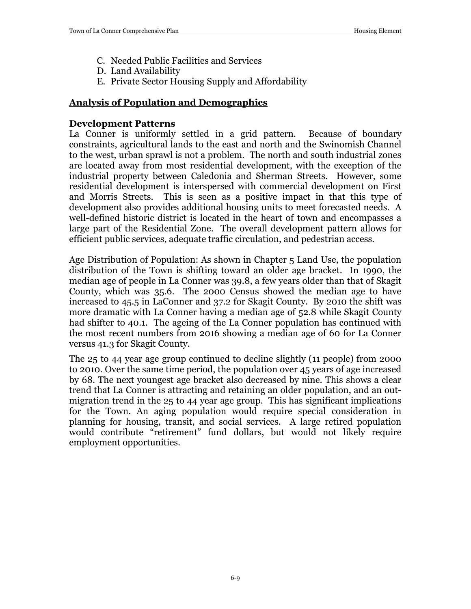- C. Needed Public Facilities and Services
- D. Land Availability
- E. Private Sector Housing Supply and Affordability

#### **Analysis of Population and Demographics**

#### **Development Patterns**

La Conner is uniformly settled in a grid pattern. Because of boundary constraints, agricultural lands to the east and north and the Swinomish Channel to the west, urban sprawl is not a problem. The north and south industrial zones are located away from most residential development, with the exception of the industrial property between Caledonia and Sherman Streets. However, some residential development is interspersed with commercial development on First and Morris Streets. This is seen as a positive impact in that this type of development also provides additional housing units to meet forecasted needs. A well-defined historic district is located in the heart of town and encompasses a large part of the Residential Zone. The overall development pattern allows for efficient public services, adequate traffic circulation, and pedestrian access.

Age Distribution of Population: As shown in Chapter 5 Land Use, the population distribution of the Town is shifting toward an older age bracket. In 1990, the median age of people in La Conner was 39.8, a few years older than that of Skagit County, which was 35.6. The 2000 Census showed the median age to have increased to 45.5 in LaConner and 37.2 for Skagit County. By 2010 the shift was more dramatic with La Conner having a median age of 52.8 while Skagit County had shifter to 40.1. The ageing of the La Conner population has continued with the most recent numbers from 2016 showing a median age of 60 for La Conner versus 41.3 for Skagit County.

The 25 to 44 year age group continued to decline slightly (11 people) from 2000 to 2010. Over the same time period, the population over 45 years of age increased by 68. The next youngest age bracket also decreased by nine. This shows a clear trend that La Conner is attracting and retaining an older population, and an outmigration trend in the 25 to 44 year age group. This has significant implications for the Town. An aging population would require special consideration in planning for housing, transit, and social services. A large retired population would contribute "retirement" fund dollars, but would not likely require employment opportunities.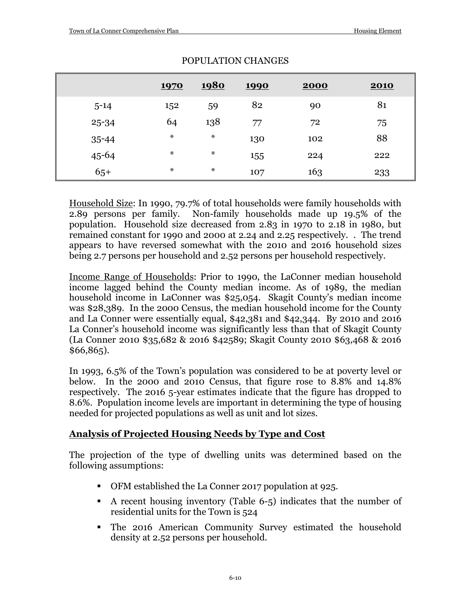|           | <b>1970</b>    | <u>1980</u>    | <u>1990</u> | 2000 | <b>2010</b> |
|-----------|----------------|----------------|-------------|------|-------------|
| $5 - 14$  | 152            | 59             | 82          | 90   | 81          |
| 25-34     | 64             | 138            | 77          | 72   | 75          |
| $35 - 44$ | $\ast$         | $\star$        | 130         | 102  | 88          |
| $45 - 64$ | $\pmb{\times}$ | $\pmb{\times}$ | 155         | 224  | 222         |
| $65+$     | $\pmb{\times}$ | $\pmb{\times}$ | 107         | 163  | 233         |

#### POPULATION CHANGES

Household Size: In 1990, 79.7% of total households were family households with 2.89 persons per family. Non-family households made up 19.5% of the population. Household size decreased from 2.83 in 1970 to 2.18 in 1980, but remained constant for 1990 and 2000 at 2.24 and 2.25 respectively. . The trend appears to have reversed somewhat with the 2010 and 2016 household sizes being 2.7 persons per household and 2.52 persons per household respectively.

Income Range of Households: Prior to 1990, the LaConner median household income lagged behind the County median income. As of 1989, the median household income in LaConner was \$25,054. Skagit County's median income was \$28,389. In the 2000 Census, the median household income for the County and La Conner were essentially equal, \$42,381 and \$42,344. By 2010 and 2016 La Conner's household income was significantly less than that of Skagit County (La Conner 2010 \$35,682 & 2016 \$42589; Skagit County 2010 \$63,468 & 2016 \$66,865).

In 1993, 6.5% of the Town's population was considered to be at poverty level or below. In the 2000 and 2010 Census, that figure rose to 8.8% and 14.8% respectively. The 2016 5-year estimates indicate that the figure has dropped to 8.6%. Population income levels are important in determining the type of housing needed for projected populations as well as unit and lot sizes.

# **Analysis of Projected Housing Needs by Type and Cost**

The projection of the type of dwelling units was determined based on the following assumptions:

- OFM established the La Conner 2017 population at 925.
- A recent housing inventory (Table 6-5) indicates that the number of residential units for the Town is 524
- The 2016 American Community Survey estimated the household density at 2.52 persons per household.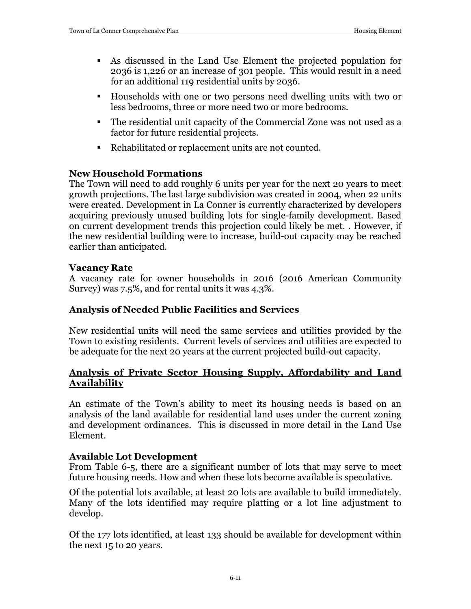- As discussed in the Land Use Element the projected population for 2036 is 1,226 or an increase of 301 people. This would result in a need for an additional 119 residential units by 2036.
- Households with one or two persons need dwelling units with two or less bedrooms, three or more need two or more bedrooms.
- The residential unit capacity of the Commercial Zone was not used as a factor for future residential projects.
- Rehabilitated or replacement units are not counted.

## **New Household Formations**

The Town will need to add roughly 6 units per year for the next 20 years to meet growth projections. The last large subdivision was created in 2004, when 22 units were created. Development in La Conner is currently characterized by developers acquiring previously unused building lots for single-family development. Based on current development trends this projection could likely be met. . However, if the new residential building were to increase, build-out capacity may be reached earlier than anticipated.

#### **Vacancy Rate**

A vacancy rate for owner households in 2016 (2016 American Community Survey) was 7.5%, and for rental units it was 4.3%.

# **Analysis of Needed Public Facilities and Services**

New residential units will need the same services and utilities provided by the Town to existing residents. Current levels of services and utilities are expected to be adequate for the next 20 years at the current projected build-out capacity.

#### **Analysis of Private Sector Housing Supply, Affordability and Land Availability**

An estimate of the Town's ability to meet its housing needs is based on an analysis of the land available for residential land uses under the current zoning and development ordinances. This is discussed in more detail in the Land Use Element.

#### **Available Lot Development**

From Table 6-5, there are a significant number of lots that may serve to meet future housing needs. How and when these lots become available is speculative.

Of the potential lots available, at least 20 lots are available to build immediately. Many of the lots identified may require platting or a lot line adjustment to develop.

Of the 177 lots identified, at least 133 should be available for development within the next 15 to 20 years.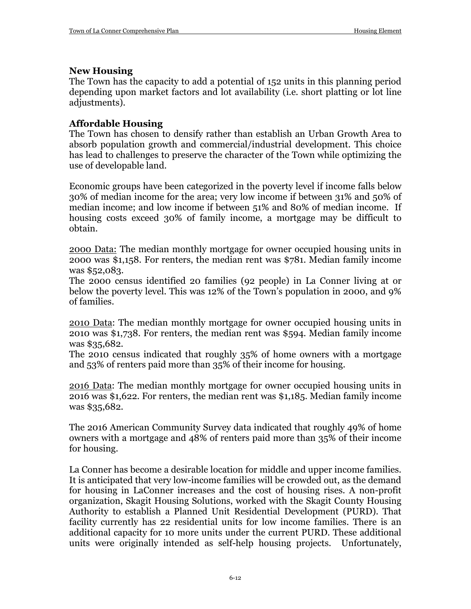#### **New Housing**

The Town has the capacity to add a potential of 152 units in this planning period depending upon market factors and lot availability (i.e. short platting or lot line adjustments).

# **Affordable Housing**

The Town has chosen to densify rather than establish an Urban Growth Area to absorb population growth and commercial/industrial development. This choice has lead to challenges to preserve the character of the Town while optimizing the use of developable land.

Economic groups have been categorized in the poverty level if income falls below 30% of median income for the area; very low income if between 31% and 50% of median income; and low income if between 51% and 80% of median income. If housing costs exceed 30% of family income, a mortgage may be difficult to obtain.

2000 Data: The median monthly mortgage for owner occupied housing units in 2000 was \$1,158. For renters, the median rent was \$781. Median family income was \$52,083.

The 2000 census identified 20 families (92 people) in La Conner living at or below the poverty level. This was 12% of the Town's population in 2000, and 9% of families.

2010 Data: The median monthly mortgage for owner occupied housing units in 2010 was \$1,738. For renters, the median rent was \$594. Median family income was \$35,682.

The 2010 census indicated that roughly 35% of home owners with a mortgage and 53% of renters paid more than 35% of their income for housing.

2016 Data: The median monthly mortgage for owner occupied housing units in 2016 was \$1,622. For renters, the median rent was \$1,185. Median family income was \$35,682.

The 2016 American Community Survey data indicated that roughly 49% of home owners with a mortgage and 48% of renters paid more than 35% of their income for housing.

La Conner has become a desirable location for middle and upper income families. It is anticipated that very low-income families will be crowded out, as the demand for housing in LaConner increases and the cost of housing rises. A non-profit organization, Skagit Housing Solutions, worked with the Skagit County Housing Authority to establish a Planned Unit Residential Development (PURD). That facility currently has 22 residential units for low income families. There is an additional capacity for 10 more units under the current PURD. These additional units were originally intended as self-help housing projects. Unfortunately,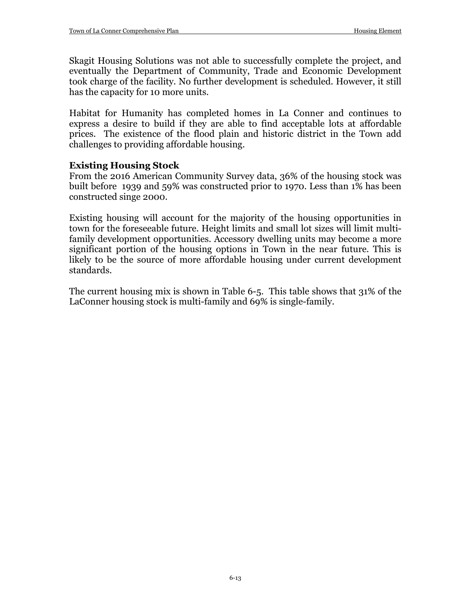Skagit Housing Solutions was not able to successfully complete the project, and eventually the Department of Community, Trade and Economic Development took charge of the facility. No further development is scheduled. However, it still has the capacity for 10 more units.

Habitat for Humanity has completed homes in La Conner and continues to express a desire to build if they are able to find acceptable lots at affordable prices. The existence of the flood plain and historic district in the Town add challenges to providing affordable housing.

#### **Existing Housing Stock**

From the 2016 American Community Survey data, 36% of the housing stock was built before 1939 and 59% was constructed prior to 1970. Less than 1% has been constructed singe 2000.

Existing housing will account for the majority of the housing opportunities in town for the foreseeable future. Height limits and small lot sizes will limit multifamily development opportunities. Accessory dwelling units may become a more significant portion of the housing options in Town in the near future. This is likely to be the source of more affordable housing under current development standards.

The current housing mix is shown in Table 6-5. This table shows that 31% of the LaConner housing stock is multi-family and 69% is single-family.